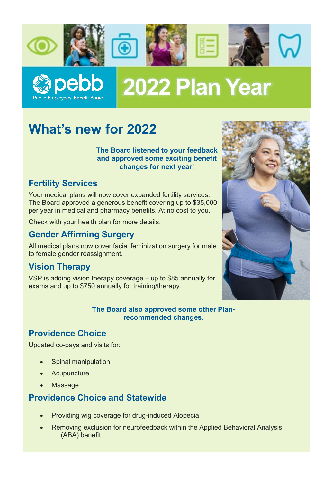



# 2022 Plan Year

# **What's new for 2022**

**The Board listened to your feedback and approved some exciting benefit changes for next year!**

# **Fertility Services**

Your medical plans will now cover expanded fertility services. The Board approved a generous benefit covering up to \$35,000 per year in medical and pharmacy benefits. At no cost to you.

Check with your health plan for more details.

# **Gender Affirming Surgery**

All medical plans now cover facial feminization surgery for male to female gender reassignment.

# **Vision Therapy**

VSP is adding vision therapy coverage – up to \$85 annually for exams and up to \$750 annually for training/therapy.



#### **The Board also approved some other Planrecommended changes.**

# **Providence Choice**

Updated co-pays and visits for:

- Spinal manipulation
- **Acupuncture**
- Massage

# **Providence Choice and Statewide**

- Providing wig coverage for drug-induced Alopecia
- Removing exclusion for neurofeedback within the Applied Behavioral Analysis (ABA) benefit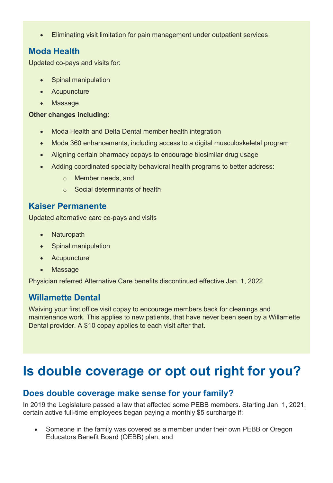• Eliminating visit limitation for pain management under outpatient services

### **Moda Health**

Updated co-pays and visits for:

- Spinal manipulation
- Acupuncture
- Massage

#### **Other changes including:**

- Moda Health and Delta Dental member health integration
- Moda 360 enhancements, including access to a digital musculoskeletal program
- Aligning certain pharmacy copays to encourage biosimilar drug usage
- Adding coordinated specialty behavioral health programs to better address:
	- o Member needs, and
	- o Social determinants of health

### **Kaiser Permanente**

Updated alternative care co-pays and visits

- Naturopath
- Spinal manipulation
- Acupuncture
- Massage

Physician referred Alternative Care benefits discontinued effective Jan. 1, 2022

# **Willamette Dental**

Waiving your first office visit copay to encourage members back for cleanings and maintenance work. This applies to new patients, that have never been seen by a Willamette Dental provider. A \$10 copay applies to each visit after that.

# **Is double coverage or opt out right for you?**

# **Does double coverage make sense for your family?**

In 2019 the Legislature passed a law that affected some PEBB members. Starting Jan. 1, 2021, certain active full-time employees began paying a monthly \$5 surcharge if:

• Someone in the family was covered as a member under their own PEBB or Oregon Educators Benefit Board (OEBB) plan, and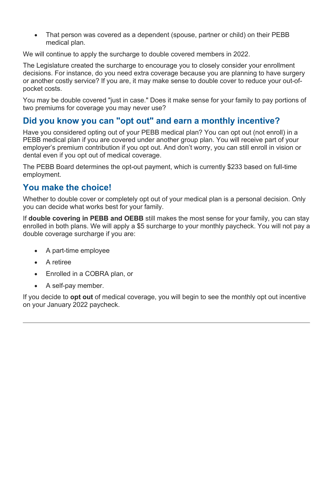• That person was covered as a dependent (spouse, partner or child) on their PEBB medical plan.

We will continue to apply the surcharge to double covered members in 2022.

The Legislature created the surcharge to encourage you to closely consider your enrollment decisions. For instance, do you need extra coverage because you are planning to have surgery or another costly service? If you are, it may make sense to double cover to reduce your out-ofpocket costs.

You may be double covered "just in case." Does it make sense for your family to pay portions of two premiums for coverage you may never use?

# **Did you know you can "opt out" and earn a monthly incentive?**

Have you considered opting out of your PEBB medical plan? You can opt out (not enroll) in a PEBB medical plan if you are covered under another group plan. You will receive part of your employer's premium contribution if you opt out. And don't worry, you can still enroll in vision or dental even if you opt out of medical coverage.

The PEBB Board determines the opt-out payment, which is currently \$233 based on full-time employment.

# **You make the choice!**

Whether to double cover or completely opt out of your medical plan is a personal decision. Only you can decide what works best for your family.

If **double covering in PEBB and OEBB** still makes the most sense for your family, you can stay enrolled in both plans. We will apply a \$5 surcharge to your monthly paycheck. You will not pay a double coverage surcharge if you are:

- A part-time employee
- A retiree
- Enrolled in a COBRA plan, or
- A self-pay member.

If you decide to **opt out** of medical coverage, you will begin to see the monthly opt out incentive on your January 2022 paycheck.